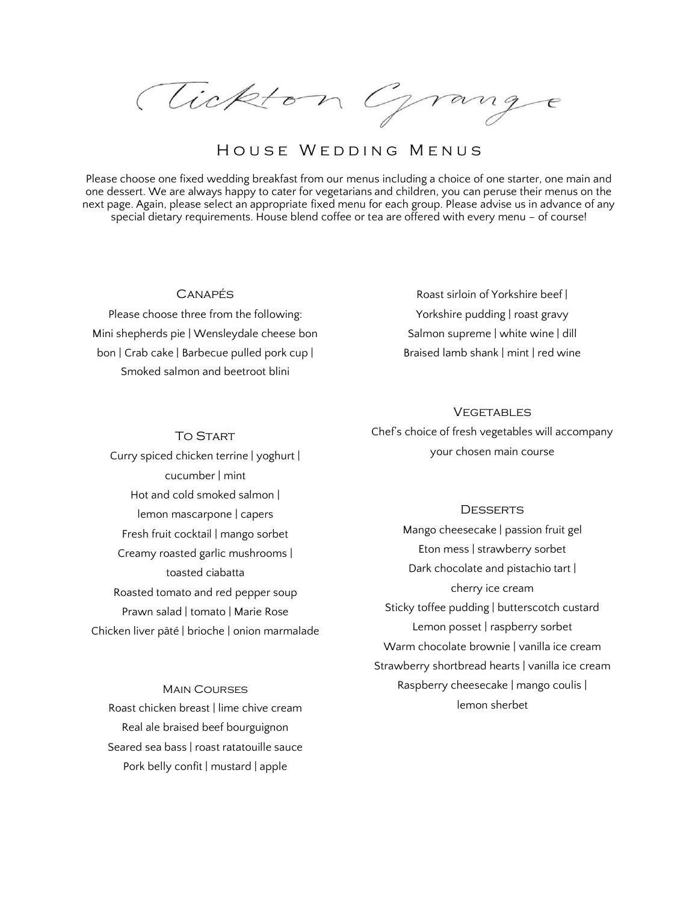Tickton Grange

# HOUSE WEDDING MENUS

Please choose one fixed wedding breakfast from our menus including a choice of one starter, one main and one dessert. We are always happy to cater for vegetarians and children, you can peruse their menus on the next page. Again, please select an appropriate fixed menu for each group. Please advise us in advance of any special dietary requirements. House blend coffee or tea are offered with every menu – of course!

## Canapés

Please choose three from the following: Mini shepherds pie | Wensleydale cheese bon bon | Crab cake | Barbecue pulled pork cup | Smoked salmon and beetroot blini

To Start

Roast sirloin of Yorkshire beef | Yorkshire pudding | roast gravy Salmon supreme | white wine | dill Braised lamb shank | mint | red wine

### **VEGETABLES**

Chef's choice of fresh vegetables will accompany your chosen main course

**DESSERTS** 

Mango cheesecake | passion fruit gel Eton mess | strawberry sorbet Dark chocolate and pistachio tart | cherry ice cream Sticky toffee pudding | butterscotch custard Lemon posset | raspberry sorbet Warm chocolate brownie | vanilla ice cream Strawberry shortbread hearts | vanilla ice cream Raspberry cheesecake | mango coulis | lemon sherbet

Curry spiced chicken terrine | yoghurt | cucumber | mint Hot and cold smoked salmon | lemon mascarpone | capers Fresh fruit cocktail | mango sorbet Creamy roasted garlic mushrooms | toasted ciabatta Roasted tomato and red pepper soup Prawn salad | tomato | Marie Rose Chicken liver pâté | brioche | onion marmalade

Main Courses Roast chicken breast | lime chive cream Real ale braised beef bourguignon Seared sea bass | roast ratatouille sauce Pork belly confit | mustard | apple